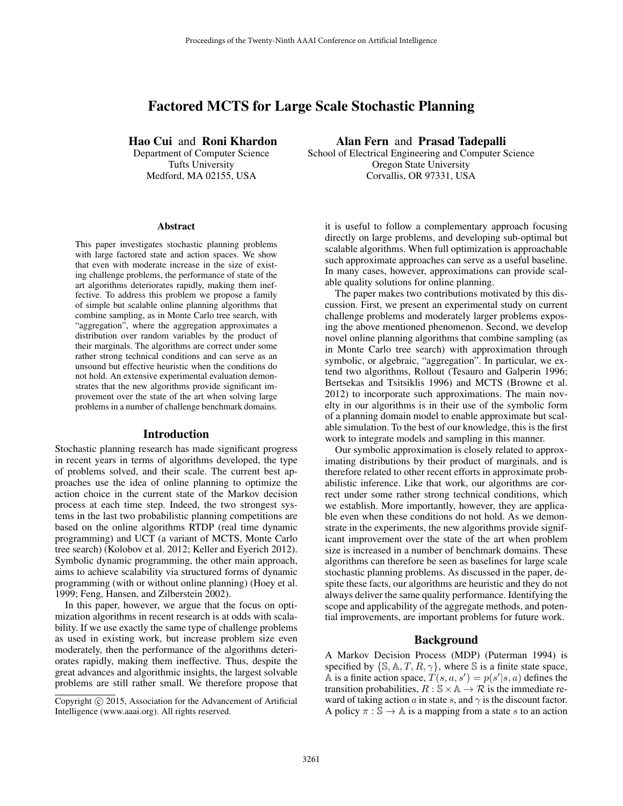# Factored MCTS for Large Scale Stochastic Planning

Hao Cui and Roni Khardon

Department of Computer Science Tufts University Medford, MA 02155, USA

#### Abstract

This paper investigates stochastic planning problems with large factored state and action spaces. We show that even with moderate increase in the size of existing challenge problems, the performance of state of the art algorithms deteriorates rapidly, making them ineffective. To address this problem we propose a family of simple but scalable online planning algorithms that combine sampling, as in Monte Carlo tree search, with "aggregation", where the aggregation approximates a distribution over random variables by the product of their marginals. The algorithms are correct under some rather strong technical conditions and can serve as an unsound but effective heuristic when the conditions do not hold. An extensive experimental evaluation demonstrates that the new algorithms provide significant improvement over the state of the art when solving large problems in a number of challenge benchmark domains.

#### Introduction

Stochastic planning research has made significant progress in recent years in terms of algorithms developed, the type of problems solved, and their scale. The current best approaches use the idea of online planning to optimize the action choice in the current state of the Markov decision process at each time step. Indeed, the two strongest systems in the last two probabilistic planning competitions are based on the online algorithms RTDP (real time dynamic programming) and UCT (a variant of MCTS, Monte Carlo tree search) (Kolobov et al. 2012; Keller and Eyerich 2012). Symbolic dynamic programming, the other main approach, aims to achieve scalability via structured forms of dynamic programming (with or without online planning) (Hoey et al. 1999; Feng, Hansen, and Zilberstein 2002).

In this paper, however, we argue that the focus on optimization algorithms in recent research is at odds with scalability. If we use exactly the same type of challenge problems as used in existing work, but increase problem size even moderately, then the performance of the algorithms deteriorates rapidly, making them ineffective. Thus, despite the great advances and algorithmic insights, the largest solvable problems are still rather small. We therefore propose that

Alan Fern and Prasad Tadepalli School of Electrical Engineering and Computer Science Oregon State University Corvallis, OR 97331, USA

it is useful to follow a complementary approach focusing directly on large problems, and developing sub-optimal but scalable algorithms. When full optimization is approachable such approximate approaches can serve as a useful baseline. In many cases, however, approximations can provide scalable quality solutions for online planning.

The paper makes two contributions motivated by this discussion. First, we present an experimental study on current challenge problems and moderately larger problems exposing the above mentioned phenomenon. Second, we develop novel online planning algorithms that combine sampling (as in Monte Carlo tree search) with approximation through symbolic, or algebraic, "aggregation". In particular, we extend two algorithms, Rollout (Tesauro and Galperin 1996; Bertsekas and Tsitsiklis 1996) and MCTS (Browne et al. 2012) to incorporate such approximations. The main novelty in our algorithms is in their use of the symbolic form of a planning domain model to enable approximate but scalable simulation. To the best of our knowledge, this is the first work to integrate models and sampling in this manner.

Our symbolic approximation is closely related to approximating distributions by their product of marginals, and is therefore related to other recent efforts in approximate probabilistic inference. Like that work, our algorithms are correct under some rather strong technical conditions, which we establish. More importantly, however, they are applicable even when these conditions do not hold. As we demonstrate in the experiments, the new algorithms provide significant improvement over the state of the art when problem size is increased in a number of benchmark domains. These algorithms can therefore be seen as baselines for large scale stochastic planning problems. As discussed in the paper, despite these facts, our algorithms are heuristic and they do not always deliver the same quality performance. Identifying the scope and applicability of the aggregate methods, and potential improvements, are important problems for future work.

#### Background

A Markov Decision Process (MDP) (Puterman 1994) is specified by  $\{S, A, T, R, \gamma\}$ , where S is a finite state space,  $\overrightarrow{A}$  is a finite action space,  $T(s, a, s') = p(s'|s, a)$  defines the transition probabilities,  $R : \mathbb{S} \times \mathbb{A} \to \mathcal{R}$  is the immediate reward of taking action  $a$  in state  $s$ , and  $\gamma$  is the discount factor. A policy  $\pi : \mathbb{S} \to \mathbb{A}$  is a mapping from a state s to an action

Copyright © 2015, Association for the Advancement of Artificial Intelligence (www.aaai.org). All rights reserved.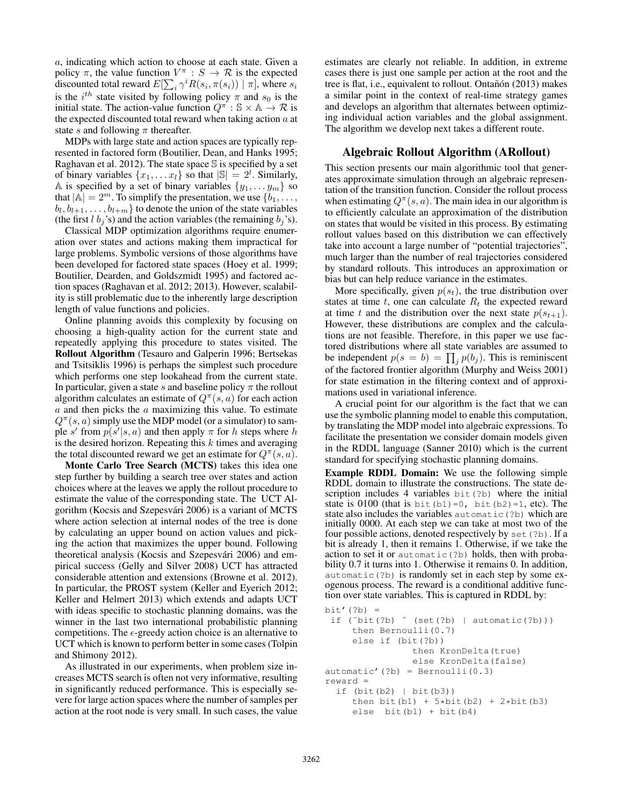a, indicating which action to choose at each state. Given a policy  $\pi$ , the value function  $V^{\pi}$  :  $S \to \mathcal{R}$  is the expected discounted total reward  $E[\sum_i \gamma^i R(s_i, \pi(s_i)) | \pi]$ , where  $s_i$ is the  $i^{th}$  state visited by following policy  $\pi$  and  $s_0$  is the initial state. The action-value function  $Q^{\pi}$  :  $\mathbb{S} \times \mathbb{A} \to \mathcal{R}$  is the expected discounted total reward when taking action  $a$  at state s and following  $\pi$  thereafter.

MDPs with large state and action spaces are typically represented in factored form (Boutilier, Dean, and Hanks 1995; Raghavan et al. 2012). The state space  $\mathbb S$  is specified by a set of binary variables  $\{x_1, \ldots x_l\}$  so that  $|\mathbb{S}| = 2^l$ . Similarly, A is specified by a set of binary variables  $\{y_1, \ldots y_m\}$  so that  $|A| = 2^m$ . To simplify the presentation, we use  $\{b_1, \ldots, b_n\}$  $b_l, b_{l+1}, \ldots, b_{l+m}$  to denote the union of the state variables (the first l  $b_j$ 's) and the action variables (the remaining  $b_j$ 's).

Classical MDP optimization algorithms require enumeration over states and actions making them impractical for large problems. Symbolic versions of those algorithms have been developed for factored state spaces (Hoey et al. 1999; Boutilier, Dearden, and Goldszmidt 1995) and factored action spaces (Raghavan et al. 2012; 2013). However, scalability is still problematic due to the inherently large description length of value functions and policies.

Online planning avoids this complexity by focusing on choosing a high-quality action for the current state and repeatedly applying this procedure to states visited. The Rollout Algorithm (Tesauro and Galperin 1996; Bertsekas and Tsitsiklis 1996) is perhaps the simplest such procedure which performs one step lookahead from the current state. In particular, given a state s and baseline policy  $\pi$  the rollout algorithm calculates an estimate of  $Q^{\pi}(s, a)$  for each action  $a$  and then picks the  $a$  maximizing this value. To estimate  $Q^{\pi}(s, a)$  simply use the MDP model (or a simulator) to sample s' from  $p(s'|s, a)$  and then apply  $\pi$  for h steps where h is the desired horizon. Repeating this  $k$  times and averaging the total discounted reward we get an estimate for  $Q^{\pi}(s, a)$ .

Monte Carlo Tree Search (MCTS) takes this idea one step further by building a search tree over states and action choices where at the leaves we apply the rollout procedure to estimate the value of the corresponding state. The UCT Algorithm (Kocsis and Szepesvári 2006) is a variant of MCTS where action selection at internal nodes of the tree is done by calculating an upper bound on action values and picking the action that maximizes the upper bound. Following theoretical analysis (Kocsis and Szepesvári 2006) and empirical success (Gelly and Silver 2008) UCT has attracted considerable attention and extensions (Browne et al. 2012). In particular, the PROST system (Keller and Eyerich 2012; Keller and Helmert 2013) which extends and adapts UCT with ideas specific to stochastic planning domains, was the winner in the last two international probabilistic planning competitions. The  $\epsilon$ -greedy action choice is an alternative to UCT which is known to perform better in some cases (Tolpin and Shimony 2012).

As illustrated in our experiments, when problem size increases MCTS search is often not very informative, resulting in significantly reduced performance. This is especially severe for large action spaces where the number of samples per action at the root node is very small. In such cases, the value

estimates are clearly not reliable. In addition, in extreme cases there is just one sample per action at the root and the tree is flat, i.e., equivalent to rollout. Ontañón (2013) makes a similar point in the context of real-time strategy games and develops an algorithm that alternates between optimizing individual action variables and the global assignment. The algorithm we develop next takes a different route.

# Algebraic Rollout Algorithm (ARollout)

This section presents our main algorithmic tool that generates approximate simulation through an algebraic representation of the transition function. Consider the rollout process when estimating  $Q^{\pi}(s, a)$ . The main idea in our algorithm is to efficiently calculate an approximation of the distribution on states that would be visited in this process. By estimating rollout values based on this distribution we can effectively take into account a large number of "potential trajectories", much larger than the number of real trajectories considered by standard rollouts. This introduces an approximation or bias but can help reduce variance in the estimates.

More specifically, given  $p(s_t)$ , the true distribution over states at time  $t$ , one can calculate  $R_t$  the expected reward at time t and the distribution over the next state  $p(s_{t+1})$ . However, these distributions are complex and the calculations are not feasible. Therefore, in this paper we use factored distributions where all state variables are assumed to be independent  $p(s = b) = \prod_j p(b_j)$ . This is reminiscent of the factored frontier algorithm (Murphy and Weiss 2001) for state estimation in the filtering context and of approximations used in variational inference.

A crucial point for our algorithm is the fact that we can use the symbolic planning model to enable this computation, by translating the MDP model into algebraic expressions. To facilitate the presentation we consider domain models given in the RDDL language (Sanner 2010) which is the current standard for specifying stochastic planning domains.

Example RDDL Domain: We use the following simple RDDL domain to illustrate the constructions. The state description includes 4 variables bit(?b) where the initial state is 0100 (that is bit  $(b1)=0$ , bit  $(b2)=1$ , etc). The state also includes the variables automatic(?b) which are initially 0000. At each step we can take at most two of the four possible actions, denoted respectively by set(?b). If a bit is already 1, then it remains 1. Otherwise, if we take the action to set it or automatic(?b) holds, then with probability 0.7 it turns into 1. Otherwise it remains 0. In addition, automatic(?b) is randomly set in each step by some exogenous process. The reward is a conditional additive function over state variables. This is captured in RDDL by:

```
bit'(?b) =
 if (\tilde{b}t)(?b) \hat{c} (set(?b) | automatic(?b)))
     then Bernoulli(0.7)
     else if (bit(?b))
                 then KronDelta(true)
                 else KronDelta(false)
automatic'(?b) = Bernoulli(0.3)
reward =
  if (bit(b2) | bit(b3))then bit(b1) + 5 * bit(b2) + 2 * bit(b3)else bit(b1) + bit(b4)
```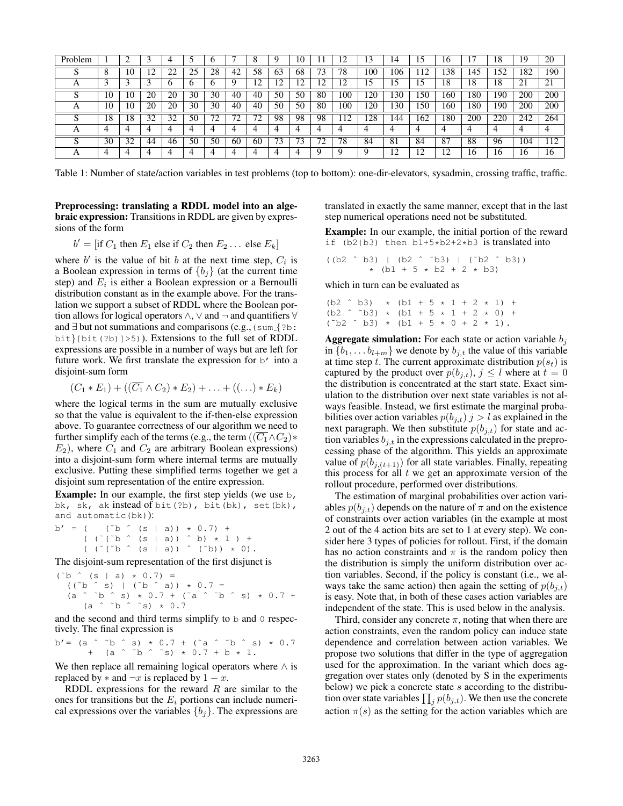| Problem |    |    |    |    |    |                  |    |         |    | 0      |                          | ∸   |     | 14             |      | b   |     | l8  | 19             | 20  |
|---------|----|----|----|----|----|------------------|----|---------|----|--------|--------------------------|-----|-----|----------------|------|-----|-----|-----|----------------|-----|
|         | Õ  | 10 | ∸  | າາ | 25 | 28               | 42 | 58      | 63 | 68     | $\overline{\phantom{a}}$ | 78  | 100 | 106            |      | 38  | 145 | 52  | 182            | 190 |
| Δ       |    |    |    |    |    |                  |    | ◠<br>∸  | ി  | ി<br>∼ |                          | ∸   | 15  | L              |      | 18  | 18  | 18  | $\overline{2}$ | 21  |
|         | 10 | 10 | 20 | 20 | 30 | 30               | 40 | 40      | 50 | 50     | 80                       | 100 | 20  | 30             | 150  | .60 | 180 | 190 | 200            | 200 |
| A       | 10 | 10 | 20 | 20 | 30 | 30               | 40 | 40      | 50 | 50     | 80                       | 100 | 120 | 30             | 150  | .60 | 180 | 190 | 200            | 200 |
|         | 18 | 18 | 32 | 32 | 50 | $7^{\circ}$<br>∸ |    | 70<br>∸ | 98 | 98     | 98                       | 12  | 28  | .44            | 162  | 180 | 200 | 220 | 242            | 264 |
|         |    |    |    |    |    |                  |    |         | 4  |        |                          |     |     |                |      |     |     |     |                |     |
|         | 30 | 32 | 44 | 46 | 50 | 50               | 60 | 60      | 73 | −<br>ు | ∠                        | 78  | 84  | 8 <sub>1</sub> | 84   | 87  | 88  | 96  | 04             | 12  |
|         |    |    |    |    |    |                  |    |         |    |        |                          |     |     | ി<br>∸         | - 12 |     | 16  | 16  | 16             | 16  |

Table 1: Number of state/action variables in test problems (top to bottom): one-dir-elevators, sysadmin, crossing traffic, traffic.

Preprocessing: translating a RDDL model into an algebraic expression: Transitions in RDDL are given by expressions of the form

 $b' = [\text{if } C_1 \text{ then } E_1 \text{ else if } C_2 \text{ then } E_2 \dots \text{ else } E_k]$ 

where  $b'$  is the value of bit b at the next time step,  $C_i$  is a Boolean expression in terms of  ${b_j}$  (at the current time step) and  $E_i$  is either a Boolean expression or a Bernoulli distribution constant as in the example above. For the translation we support a subset of RDDL where the Boolean portion allows for logical operators  $\land$ ,  $\lor$  and  $\neg$  and quantifiers  $\forall$ and  $\exists$  but not summations and comparisons (e.g., (sum  $\{?b: \}$ )  $bit\{bit(?b)\} > 5)$ ). Extensions to the full set of RDDL expressions are possible in a number of ways but are left for future work. We first translate the expression for  $b'$  into a disjoint-sum form

$$
(C_1 * E_1) + ((\overline{C_1} \wedge C_2) * E_2) + \ldots + ((\ldots) * E_k)
$$

where the logical terms in the sum are mutually exclusive so that the value is equivalent to the if-then-else expression above. To guarantee correctness of our algorithm we need to further simplify each of the terms (e.g., the term  $((C_1 \wedge C_2) \ast$  $E_2$ ), where  $C_1$  and  $C_2$  are arbitrary Boolean expressions) into a disjoint-sum form where internal terms are mutually exclusive. Putting these simplified terms together we get a disjoint sum representation of the entire expression.

Example: In our example, the first step yields (we use b, bk, sk, ak instead of bit(?b), bit(bk), set(bk), and automatic(bk)):

 $b' = ($  (~b ^ (s | a)) \* 0.7) +  $($   $($   $($   $\circ$   $($   $\circ$   $)$   $)$   $($   $\circ$   $)$   $($   $\circ$   $)$   $($   $\circ$   $)$   $($   $\circ$   $)$   $($   $\circ$   $)$   $($   $\circ$   $)$   $($   $\circ$   $)$   $($   $\circ$   $)$   $($   $\circ$   $)$   $($   $\circ$   $)$   $($   $\circ$   $)$   $($   $\circ$   $)$   $($   $\circ$   $)$   $($   $\circ$   $)$   $($   $($  (  $($   $($   $\circ$   $($   $\circ$   $)$   $)$   $($   $\circ$   $)$   $)$   $($   $\circ$   $)$   $)$   $($   $\circ$   $)$   $)$   $*$   $($   $)$   $)$   $*$   $($   $)$   $)$   $*$   $($   $)$   $)$   $*$   $($   $)$   $)$   $*$   $($   $)$   $)$   $*$   $($   $)$   $)$   $*$   $($   $)$   $*$   $($   $)$   $*$   $($   $)$   $*$ 

The disjoint-sum representation of the first disjunct is

 $(^{\sim}b \quad ^{\sim}$  (s | a)  $*$  0.7) =  $((\tilde{b} \tilde{b} \tilde{s}) | (\tilde{b} \tilde{b} \tilde{a}) + \tilde{b} \tilde{c})$  $(a \t b \t b \t s) \t b \t 0.7 + (a \t b \t b \t s) \t b \t 0.7 +$  $(a \t b \t b \t s \t s) \t t 0.7$ 

and the second and third terms simplify to b and 0 respectively. The final expression is

b'= (a ˆ ˜b ˆ s) \* 0.7 + (˜a ˆ ˜b ˆ s) \* 0.7 + (a ˆ ˜b ˆ ˜s) \* 0.7 + b \* 1.

We then replace all remaining logical operators where  $\land$  is replaced by  $*$  and  $\neg x$  is replaced by  $1 - x$ .

RDDL expressions for the reward  $R$  are similar to the ones for transitions but the  $E_i$  portions can include numerical expressions over the variables  ${b_i}$ . The expressions are

translated in exactly the same manner, except that in the last step numerical operations need not be substituted.

Example: In our example, the initial portion of the reward if  $(b2|b3)$  then  $b1+5*b2+2*b3$  is translated into

((b2 ˆ b3) | (b2 ˆ ˜b3) | (˜b2 ˆ b3)) \*  $(b1 + 5 * b2 + 2 * b3)$ 

which in turn can be evaluated as

(b2 ˆ b3) \* (b1 + 5 \* 1 + 2 \* 1) + (b2  $\hat{b}$   $\hat{b}$   $\hat{b}$   $\hat{b}$   $\hat{c}$   $\hat{c}$   $\hat{b}$   $\hat{c}$   $\hat{c}$   $\hat{c}$   $\hat{c}$   $\hat{c}$   $\hat{c}$   $\hat{c}$   $\hat{c}$   $\hat{c}$   $\hat{c}$   $\hat{c}$   $\hat{c}$   $\hat{c}$   $\hat{c}$   $\hat{c}$   $\hat{c}$   $\hat{c}$   $\hat{c}$   $\hat{c}$   $\hat{c}$   $(^{\circ}b2 \ ^{\circ}b3) \ * \ (b1 + 5 \ * \ 0 + 2 \ * \ 1).$ 

**Aggregate simulation:** For each state or action variable  $b_i$ in  $\{b_1, \ldots b_{l+m}\}$  we denote by  $b_{j,t}$  the value of this variable at time step t. The current approximate distribution  $p(s_t)$  is captured by the product over  $p(b_{j,t}), j \leq l$  where at  $t = 0$ the distribution is concentrated at the start state. Exact simulation to the distribution over next state variables is not always feasible. Instead, we first estimate the marginal probabilities over action variables  $p(b_{j,t})$  j > l as explained in the next paragraph. We then substitute  $p(b_{i,t})$  for state and action variables  $b_{i,t}$  in the expressions calculated in the preprocessing phase of the algorithm. This yields an approximate value of  $p(b_{j,(t+1)})$  for all state variables. Finally, repeating this process for all  $t$  we get an approximate version of the rollout procedure, performed over distributions.

The estimation of marginal probabilities over action variables  $p(b_{i,t})$  depends on the nature of  $\pi$  and on the existence of constraints over action variables (in the example at most 2 out of the 4 action bits are set to 1 at every step). We consider here 3 types of policies for rollout. First, if the domain has no action constraints and  $\pi$  is the random policy then the distribution is simply the uniform distribution over action variables. Second, if the policy is constant (i.e., we always take the same action) then again the setting of  $p(b_{i,t})$ is easy. Note that, in both of these cases action variables are independent of the state. This is used below in the analysis.

Third, consider any concrete  $\pi$ , noting that when there are action constraints, even the random policy can induce state dependence and correlation between action variables. We propose two solutions that differ in the type of aggregation used for the approximation. In the variant which does aggregation over states only (denoted by S in the experiments below) we pick a concrete state s according to the distribution over state variables  $\prod_j p(b_{j,t})$ . We then use the concrete action  $\pi(s)$  as the setting for the action variables which are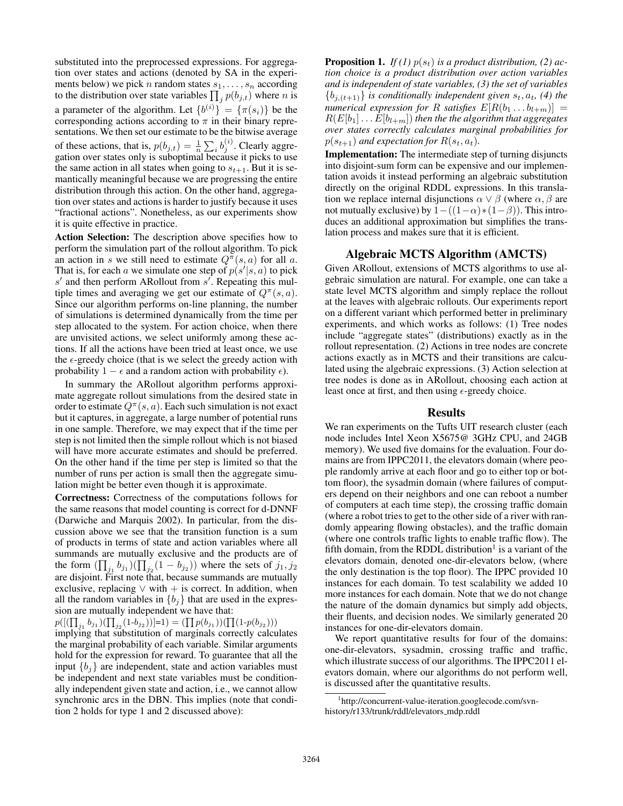substituted into the preprocessed expressions. For aggregation over states and actions (denoted by SA in the experiments below) we pick *n* random states  $s_1, \ldots, s_n$  according to the distribution over state variables  $\prod_j p(b_{j,t})$  where *n* is a parameter of the algorithm. Let  $\{b^{(i)}\} = \{\pi(s_i)\}\$ be the corresponding actions according to  $\pi$  in their binary representations. We then set our estimate to be the bitwise average of these actions, that is,  $p(b_{j,t}) = \frac{1}{n} \sum_i b_j^{(i)}$ . Clearly aggregation over states only is suboptimal because it picks to use the same action in all states when going to  $s_{t+1}$ . But it is semantically meaningful because we are progressing the entire distribution through this action. On the other hand, aggregation over states and actions is harder to justify because it uses "fractional actions". Nonetheless, as our experiments show it is quite effective in practice.

Action Selection: The description above specifies how to perform the simulation part of the rollout algorithm. To pick an action in s we still need to estimate  $Q^{\pi}(s, a)$  for all a. That is, for each a we simulate one step of  $p(s'|s, a)$  to pick  $s'$  and then perform ARollout from  $s'$ . Repeating this multiple times and averaging we get our estimate of  $Q^{\pi}(s, a)$ . Since our algorithm performs on-line planning, the number of simulations is determined dynamically from the time per step allocated to the system. For action choice, when there are unvisited actions, we select uniformly among these actions. If all the actions have been tried at least once, we use the  $\epsilon$ -greedy choice (that is we select the greedy action with probability  $1 - \epsilon$  and a random action with probability  $\epsilon$ ).

In summary the ARollout algorithm performs approximate aggregate rollout simulations from the desired state in order to estimate  $Q^{\pi}(s, a)$ . Each such simulation is not exact but it captures, in aggregate, a large number of potential runs in one sample. Therefore, we may expect that if the time per step is not limited then the simple rollout which is not biased will have more accurate estimates and should be preferred. On the other hand if the time per step is limited so that the number of runs per action is small then the aggregate simulation might be better even though it is approximate.

Correctness: Correctness of the computations follows for the same reasons that model counting is correct for d-DNNF (Darwiche and Marquis 2002). In particular, from the discussion above we see that the transition function is a sum of products in terms of state and action variables where all summands are mutually exclusive and the products are of the form  $(\prod_{j_1} b_{j_1}) (\prod_{j_2} (1 - b_{j_2}))$  where the sets of  $j_1, j_2$ are disjoint. First note that, because summands are mutually exclusive, replacing  $\vee$  with + is correct. In addition, when all the random variables in  ${b_j}$  that are used in the expression are mutually independent we have that:

 $p([(\prod_{j_1} b_{j_1})(\prod_{j_2}(1-b_{j_2}))]=1) = (\prod p(b_{j_1}))(\prod (1-p(b_{j_2})))$ 

implying that substitution of marginals correctly calculates the marginal probability of each variable. Similar arguments hold for the expression for reward. To guarantee that all the input  ${b_i}$  are independent, state and action variables must be independent and next state variables must be conditionally independent given state and action, i.e., we cannot allow synchronic arcs in the DBN. This implies (note that condition 2 holds for type 1 and 2 discussed above):

**Proposition 1.** *If* (1)  $p(s_t)$  *is a product distribution,* (2) *action choice is a product distribution over action variables and is independent of state variables, (3) the set of variables*  ${b_{i,(t+1)}}$  *is conditionally independent given*  $s_t$ ,  $a_t$ , (4) the *numerical expression for* R *satisfies*  $E[R(b_1 \ldots b_{l+m})] =$  $R(E[b_1] \ldots E[b_{l+m}])$  then the the algorithm that aggregates *over states correctly calculates marginal probabilities for*  $p(s_{t+1})$  *and expectation for*  $R(s_t, a_t)$ *.* 

Implementation: The intermediate step of turning disjuncts into disjoint-sum form can be expensive and our implementation avoids it instead performing an algebraic substitution directly on the original RDDL expressions. In this translation we replace internal disjunctions  $\alpha \vee \beta$  (where  $\alpha, \beta$  are not mutually exclusive) by  $1-((1-\alpha)*(1-\beta))$ . This introduces an additional approximation but simplifies the translation process and makes sure that it is efficient.

### Algebraic MCTS Algorithm (AMCTS)

Given ARollout, extensions of MCTS algorithms to use algebraic simulation are natural. For example, one can take a state level MCTS algorithm and simply replace the rollout at the leaves with algebraic rollouts. Our experiments report on a different variant which performed better in preliminary experiments, and which works as follows: (1) Tree nodes include "aggregate states" (distributions) exactly as in the rollout representation. (2) Actions in tree nodes are concrete actions exactly as in MCTS and their transitions are calculated using the algebraic expressions. (3) Action selection at tree nodes is done as in ARollout, choosing each action at least once at first, and then using  $\epsilon$ -greedy choice.

### Results

We ran experiments on the Tufts UIT research cluster (each node includes Intel Xeon X5675@ 3GHz CPU, and 24GB memory). We used five domains for the evaluation. Four domains are from IPPC2011, the elevators domain (where people randomly arrive at each floor and go to either top or bottom floor), the sysadmin domain (where failures of computers depend on their neighbors and one can reboot a number of computers at each time step), the crossing traffic domain (where a robot tries to get to the other side of a river with randomly appearing flowing obstacles), and the traffic domain (where one controls traffic lights to enable traffic flow). The fifth domain, from the RDDL distribution<sup>1</sup> is a variant of the elevators domain, denoted one-dir-elevators below, (where the only destination is the top floor). The IPPC provided 10 instances for each domain. To test scalability we added 10 more instances for each domain. Note that we do not change the nature of the domain dynamics but simply add objects, their fluents, and decision nodes. We similarly generated 20 instances for one-dir-elevators domain.

We report quantitative results for four of the domains: one-dir-elevators, sysadmin, crossing traffic and traffic, which illustrate success of our algorithms. The IPPC2011 elevators domain, where our algorithms do not perform well, is discussed after the quantitative results.

<sup>1</sup> http://concurrent-value-iteration.googlecode.com/svnhistory/r133/trunk/rddl/elevators mdp.rddl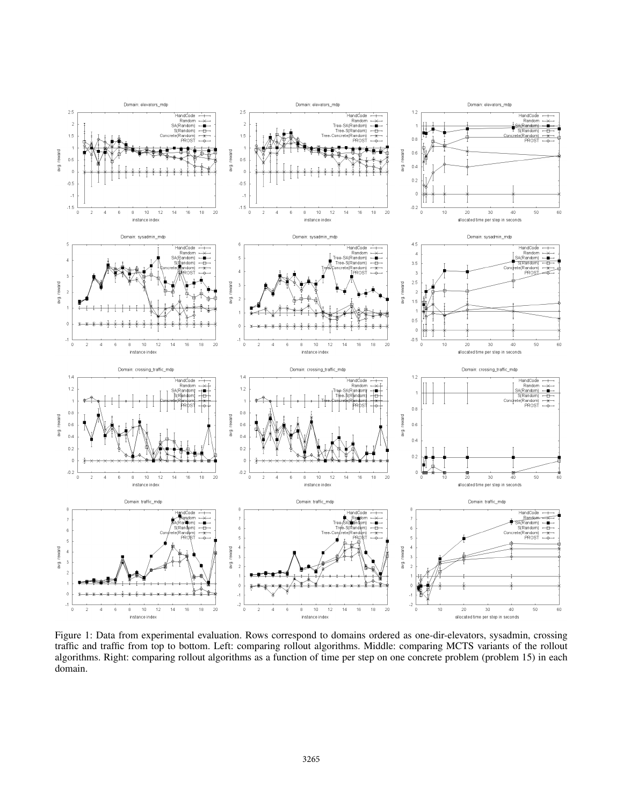

Figure 1: Data from experimental evaluation. Rows correspond to domains ordered as one-dir-elevators, sysadmin, crossing traffic and traffic from top to bottom. Left: comparing rollout algorithms. Middle: comparing MCTS variants of the rollout algorithms. Right: comparing rollout algorithms as a function of time per step on one concrete problem (problem 15) in each domain.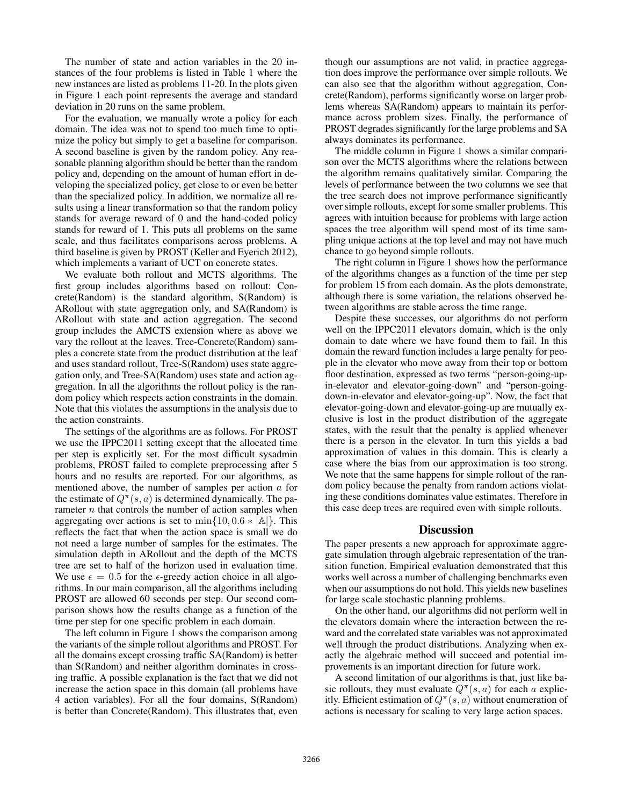The number of state and action variables in the 20 instances of the four problems is listed in Table 1 where the new instances are listed as problems 11-20. In the plots given in Figure 1 each point represents the average and standard deviation in 20 runs on the same problem.

For the evaluation, we manually wrote a policy for each domain. The idea was not to spend too much time to optimize the policy but simply to get a baseline for comparison. A second baseline is given by the random policy. Any reasonable planning algorithm should be better than the random policy and, depending on the amount of human effort in developing the specialized policy, get close to or even be better than the specialized policy. In addition, we normalize all results using a linear transformation so that the random policy stands for average reward of 0 and the hand-coded policy stands for reward of 1. This puts all problems on the same scale, and thus facilitates comparisons across problems. A third baseline is given by PROST (Keller and Eyerich 2012), which implements a variant of UCT on concrete states.

We evaluate both rollout and MCTS algorithms. The first group includes algorithms based on rollout: Concrete(Random) is the standard algorithm, S(Random) is ARollout with state aggregation only, and SA(Random) is ARollout with state and action aggregation. The second group includes the AMCTS extension where as above we vary the rollout at the leaves. Tree-Concrete(Random) samples a concrete state from the product distribution at the leaf and uses standard rollout, Tree-S(Random) uses state aggregation only, and Tree-SA(Random) uses state and action aggregation. In all the algorithms the rollout policy is the random policy which respects action constraints in the domain. Note that this violates the assumptions in the analysis due to the action constraints.

The settings of the algorithms are as follows. For PROST we use the IPPC2011 setting except that the allocated time per step is explicitly set. For the most difficult sysadmin problems, PROST failed to complete preprocessing after 5 hours and no results are reported. For our algorithms, as mentioned above, the number of samples per action a for the estimate of  $Q^{\pi}(s, a)$  is determined dynamically. The parameter  $n$  that controls the number of action samples when aggregating over actions is set to  $\min\{10, 0.6 * |A|\}$ . This reflects the fact that when the action space is small we do not need a large number of samples for the estimates. The simulation depth in ARollout and the depth of the MCTS tree are set to half of the horizon used in evaluation time. We use  $\epsilon = 0.5$  for the  $\epsilon$ -greedy action choice in all algorithms. In our main comparison, all the algorithms including PROST are allowed 60 seconds per step. Our second comparison shows how the results change as a function of the time per step for one specific problem in each domain.

The left column in Figure 1 shows the comparison among the variants of the simple rollout algorithms and PROST. For all the domains except crossing traffic SA(Random) is better than S(Random) and neither algorithm dominates in crossing traffic. A possible explanation is the fact that we did not increase the action space in this domain (all problems have 4 action variables). For all the four domains, S(Random) is better than Concrete(Random). This illustrates that, even

though our assumptions are not valid, in practice aggregation does improve the performance over simple rollouts. We can also see that the algorithm without aggregation, Concrete(Random), performs significantly worse on larger problems whereas SA(Random) appears to maintain its performance across problem sizes. Finally, the performance of PROST degrades significantly for the large problems and SA always dominates its performance.

The middle column in Figure 1 shows a similar comparison over the MCTS algorithms where the relations between the algorithm remains qualitatively similar. Comparing the levels of performance between the two columns we see that the tree search does not improve performance significantly over simple rollouts, except for some smaller problems. This agrees with intuition because for problems with large action spaces the tree algorithm will spend most of its time sampling unique actions at the top level and may not have much chance to go beyond simple rollouts.

The right column in Figure 1 shows how the performance of the algorithms changes as a function of the time per step for problem 15 from each domain. As the plots demonstrate, although there is some variation, the relations observed between algorithms are stable across the time range.

Despite these successes, our algorithms do not perform well on the IPPC2011 elevators domain, which is the only domain to date where we have found them to fail. In this domain the reward function includes a large penalty for people in the elevator who move away from their top or bottom floor destination, expressed as two terms "person-going-upin-elevator and elevator-going-down" and "person-goingdown-in-elevator and elevator-going-up". Now, the fact that elevator-going-down and elevator-going-up are mutually exclusive is lost in the product distribution of the aggregate states, with the result that the penalty is applied whenever there is a person in the elevator. In turn this yields a bad approximation of values in this domain. This is clearly a case where the bias from our approximation is too strong. We note that the same happens for simple rollout of the random policy because the penalty from random actions violating these conditions dominates value estimates. Therefore in this case deep trees are required even with simple rollouts.

### **Discussion**

The paper presents a new approach for approximate aggregate simulation through algebraic representation of the transition function. Empirical evaluation demonstrated that this works well across a number of challenging benchmarks even when our assumptions do not hold. This yields new baselines for large scale stochastic planning problems.

On the other hand, our algorithms did not perform well in the elevators domain where the interaction between the reward and the correlated state variables was not approximated well through the product distributions. Analyzing when exactly the algebraic method will succeed and potential improvements is an important direction for future work.

A second limitation of our algorithms is that, just like basic rollouts, they must evaluate  $Q^{\pi}(s, a)$  for each a explicitly. Efficient estimation of  $Q^{\pi}(s, a)$  without enumeration of actions is necessary for scaling to very large action spaces.